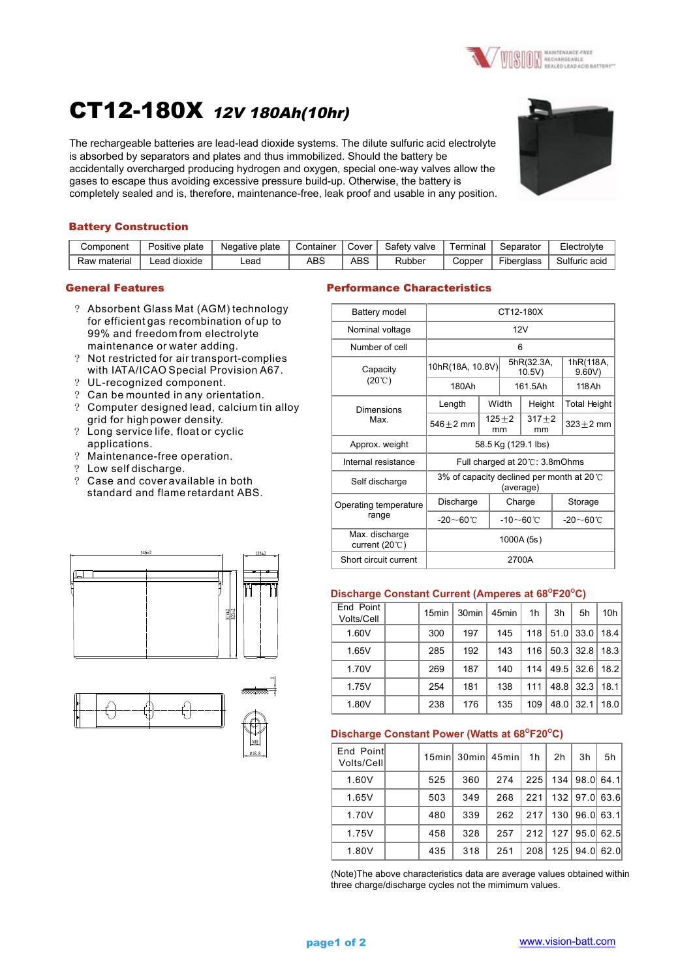

# CT12-180X 12V 180Ah(10hr)

The rechargeable batteries are lead-lead dioxide systems. The dilute sulfuric acid electrolyte is absorbed by separators and plates and thus immobilized. Should the battery be accidentally overcharged producing hydrogen and oxygen, special one-way valves allow the gases to escape thus avoiding excessive pressure build-up. Otherwise, the battery is completely sealed and is, therefore, maintenance-free, leak proof and usable in any position.



### Battery Construction

| Component    | Positive plate  | Negative plate | Container | Cover | Safety valve | ⊺erminal | Separator  | Electrolyte   |
|--------------|-----------------|----------------|-----------|-------|--------------|----------|------------|---------------|
| Raw material | dioxide<br>Lead | -ead           | ABS       | ABS   | Rubber       | Copper   | Fiberglass | Sulfuric acid |

- ? Absorbent Glass Mat (AGM) technology for efficient gas recombination of up to 99% and freedom from electrolyte maintenance or water adding.
- ? Not restricted for air transport-complies with IATA/ICAO Special Provision A67.
- ? UL-recognized component.
- ? Can be mounted in any orientation.
- ? Computer designed lead, calcium tin alloy grid for high power density.
- ? Long service life, float or cyclic applications.
- ? Maintenance-free operation.
- ? Low self discharge.
- ? Case and cover available in both standard and flame retardant ABS.







### General Features Performance Characteristics

| Battery model                              | CT12-180X                                                      |                     |                     |                 |                    |                       |  |  |
|--------------------------------------------|----------------------------------------------------------------|---------------------|---------------------|-----------------|--------------------|-----------------------|--|--|
| Nominal voltage                            | 12V                                                            |                     |                     |                 |                    |                       |  |  |
| Number of cell                             | 6                                                              |                     |                     |                 |                    |                       |  |  |
| Capacity                                   | 10hR(18A, 10.8V)                                               | 5hR(32.3A,<br>10.5V |                     |                 | 1hR(118A,<br>9.60V |                       |  |  |
| $(20^{\circ}C)$                            | 180Ah                                                          |                     | 161.5Ah             |                 |                    | 118 Ah                |  |  |
| Dimensions                                 | Length                                                         |                     | Width               | Height          |                    | <b>Total Height</b>   |  |  |
| Max.                                       | $546 + 2$ mm                                                   | mm                  | $125 + 2$           | $317 + 2$<br>mm |                    | $323 + 2$ mm          |  |  |
| Approx. weight                             |                                                                |                     | 58.5 Kg (129.1 lbs) |                 |                    |                       |  |  |
| Internal resistance                        | Full charged at 20°C: 3.8mOhms                                 |                     |                     |                 |                    |                       |  |  |
| Self discharge                             | 3% of capacity declined per month at 20 $\degree$<br>(average) |                     |                     |                 |                    |                       |  |  |
| Operating temperature                      | Discharge                                                      |                     | Charge              |                 |                    | Storage               |  |  |
| range                                      | $-20\sim 60^{\circ}$ C                                         |                     | -10 $\sim$ 60℃      |                 |                    | $-20\sim60^{\circ}$ C |  |  |
| Max. discharge<br>current (20 $\degree$ C) | 1000A (5s)                                                     |                     |                     |                 |                    |                       |  |  |
| Short circuit current                      | 2700A                                                          |                     |                     |                 |                    |                       |  |  |

## **Discharge Constant Current (Amperes at 68<sup>°</sup>F20<sup>°</sup>C)**

| End Point<br>Volts/Cell | 15 <sub>min</sub> | 30 <sub>min</sub> | 45 <sub>min</sub> | 1h  | 3h   | 5h   | 10 <sub>h</sub> |
|-------------------------|-------------------|-------------------|-------------------|-----|------|------|-----------------|
| 1.60V                   | 300               | 197               | 145               | 118 | 51.0 | 33.0 | 18.4            |
| 1.65V                   | 285               | 192               | 143               | 116 | 50.3 | 32.8 | 18.3            |
| 1.70V                   | 269               | 187               | 140               | 114 | 49.5 | 32.6 | 18.2            |
| 1.75V                   | 254               | 181               | 138               | 111 | 48.8 | 32.3 | 18.1            |
| 1.80V                   | 238               | 176               | 135               | 109 | 48.0 | 32.1 | 18.0            |

### Discharge Constant Power (Watts at 68<sup>o</sup>F20<sup>o</sup>C)

| End Point<br>Volts/Cell | 15 <sub>min</sub> | 30minl | 45minl | 1h  | 2 <sub>h</sub> | 3h       | 5h   |
|-------------------------|-------------------|--------|--------|-----|----------------|----------|------|
| 1.60V                   | 525               | 360    | 274    | 225 | 134            | 98.0     | 64.1 |
| 1.65V                   | 503               | 349    | 268    | 221 |                | 132 97.0 | 63.6 |
| 1.70V                   | 480               | 339    | 262    | 217 | 130            | 96.0     | 63.1 |
| 1.75V                   | 458               | 328    | 257    | 212 | 127            | 95.0     | 62.5 |
| 1.80V                   | 435               | 318    | 251    | 208 | 125            | 94.0     | 62.0 |

(Note)The above characteristics data are average values obtained within three charge/discharge cycles not the mimimum values.